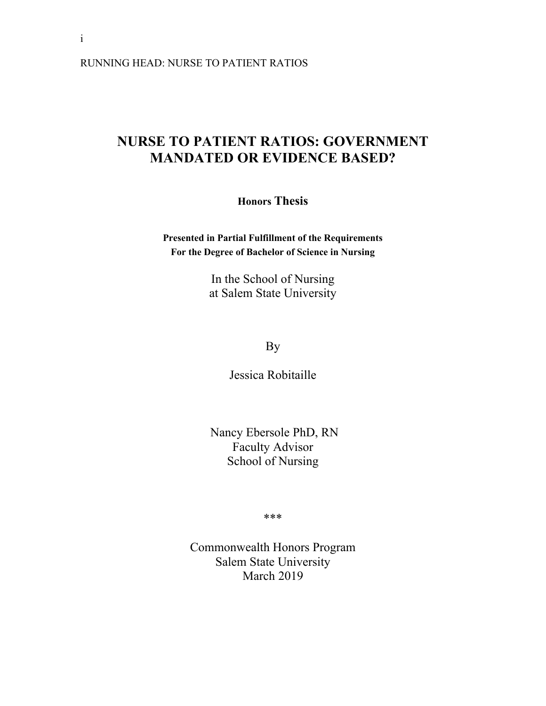RUNNING HEAD: NURSE TO PATIENT RATIOS

# **NURSE TO PATIENT RATIOS: GOVERNMENT MANDATED OR EVIDENCE BASED?**

**Honors Thesis**

**Presented in Partial Fulfillment of the Requirements For the Degree of Bachelor of Science in Nursing**

> In the School of Nursing at Salem State University

> > By

Jessica Robitaille

 Nancy Ebersole PhD, RN Faculty Advisor School of Nursing

\*\*\*

Commonwealth Honors Program Salem State University March 2019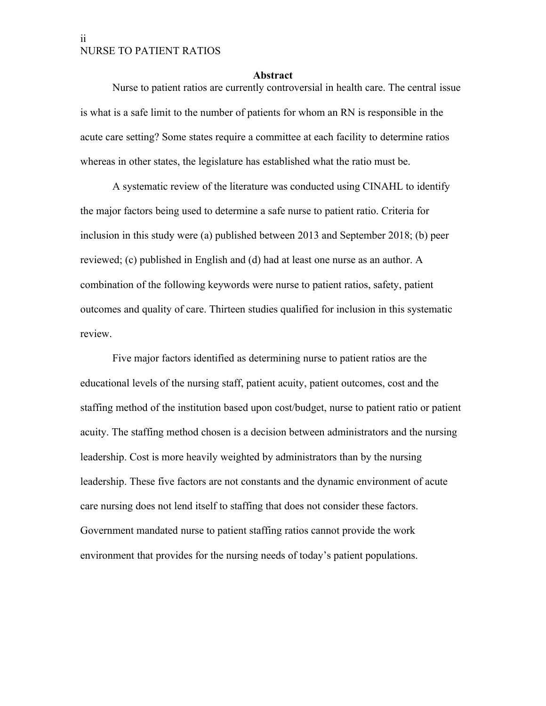#### <span id="page-1-0"></span>**Abstract**

Nurse to patient ratios are currently controversial in health care. The central issue is what is a safe limit to the number of patients for whom an RN is responsible in the acute care setting? Some states require a committee at each facility to determine ratios whereas in other states, the legislature has established what the ratio must be.

A systematic review of the literature was conducted using CINAHL to identify the major factors being used to determine a safe nurse to patient ratio. Criteria for inclusion in this study were (a) published between 2013 and September 2018; (b) peer reviewed; (c) published in English and (d) had at least one nurse as an author. A combination of the following keywords were nurse to patient ratios, safety, patient outcomes and quality of care. Thirteen studies qualified for inclusion in this systematic review.

Five major factors identified as determining nurse to patient ratios are the educational levels of the nursing staff, patient acuity, patient outcomes, cost and the staffing method of the institution based upon cost/budget, nurse to patient ratio or patient acuity. The staffing method chosen is a decision between administrators and the nursing leadership. Cost is more heavily weighted by administrators than by the nursing leadership. These five factors are not constants and the dynamic environment of acute care nursing does not lend itself to staffing that does not consider these factors. Government mandated nurse to patient staffing ratios cannot provide the work environment that provides for the nursing needs of today's patient populations.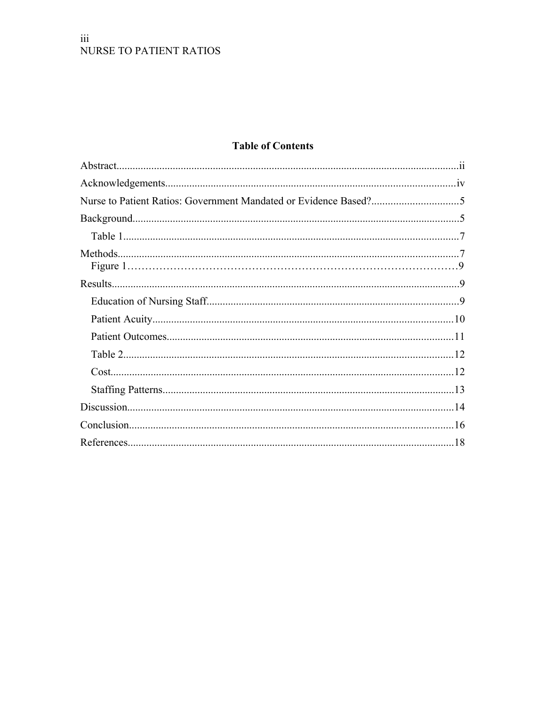### $\overline{\text{iii}}$ NURSE TO PATIENT RATIOS

## **Table of Contents**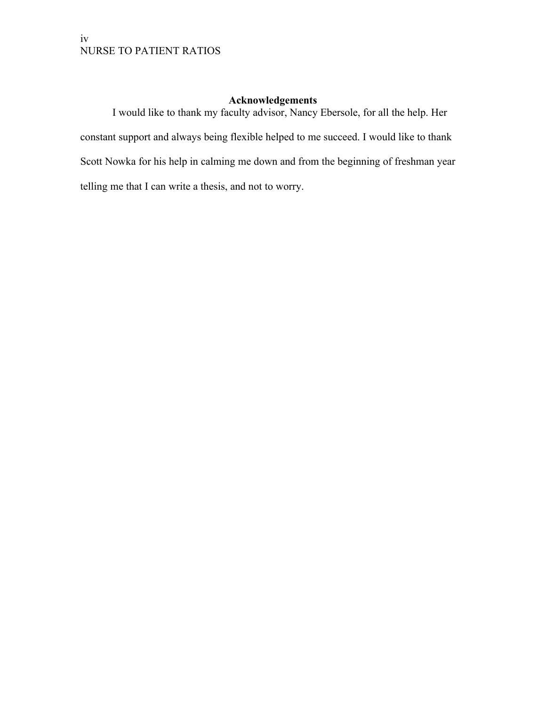### <span id="page-3-0"></span>**Acknowledgements**

I would like to thank my faculty advisor, Nancy Ebersole, for all the help. Her constant support and always being flexible helped to me succeed. I would like to thank Scott Nowka for his help in calming me down and from the beginning of freshman year telling me that I can write a thesis, and not to worry.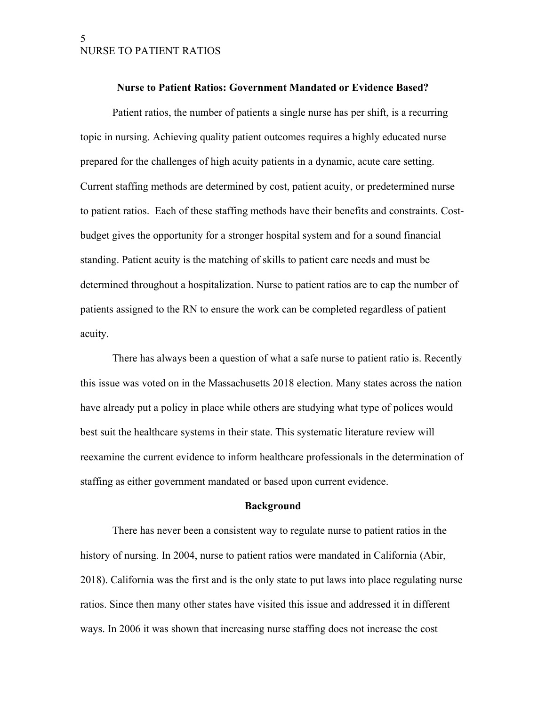#### <span id="page-4-1"></span>**Nurse to Patient Ratios: Government Mandated or Evidence Based?**

Patient ratios, the number of patients a single nurse has per shift, is a recurring topic in nursing. Achieving quality patient outcomes requires a highly educated nurse prepared for the challenges of high acuity patients in a dynamic, acute care setting. Current staffing methods are determined by cost, patient acuity, or predetermined nurse to patient ratios. Each of these staffing methods have their benefits and constraints. Costbudget gives the opportunity for a stronger hospital system and for a sound financial standing. Patient acuity is the matching of skills to patient care needs and must be determined throughout a hospitalization. Nurse to patient ratios are to cap the number of patients assigned to the RN to ensure the work can be completed regardless of patient acuity.

There has always been a question of what a safe nurse to patient ratio is. Recently this issue was voted on in the Massachusetts 2018 election. Many states across the nation have already put a policy in place while others are studying what type of polices would best suit the healthcare systems in their state. This systematic literature review will reexamine the current evidence to inform healthcare professionals in the determination of staffing as either government mandated or based upon current evidence.

#### <span id="page-4-0"></span>**Background**

There has never been a consistent way to regulate nurse to patient ratios in the history of nursing. In 2004, nurse to patient ratios were mandated in California (Abir, 2018). California was the first and is the only state to put laws into place regulating nurse ratios. Since then many other states have visited this issue and addressed it in different ways. In 2006 it was shown that increasing nurse staffing does not increase the cost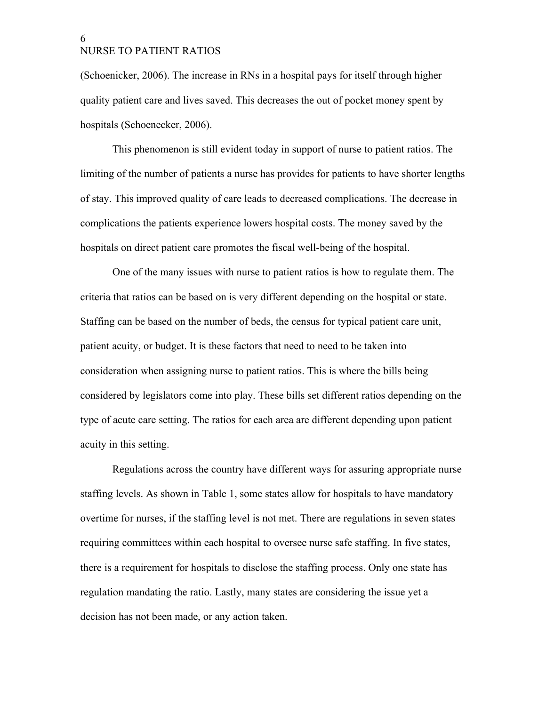(Schoenicker, 2006). The increase in RNs in a hospital pays for itself through higher quality patient care and lives saved. This decreases the out of pocket money spent by hospitals (Schoenecker, 2006).

This phenomenon is still evident today in support of nurse to patient ratios. The limiting of the number of patients a nurse has provides for patients to have shorter lengths of stay. This improved quality of care leads to decreased complications. The decrease in complications the patients experience lowers hospital costs. The money saved by the hospitals on direct patient care promotes the fiscal well-being of the hospital.

One of the many issues with nurse to patient ratios is how to regulate them. The criteria that ratios can be based on is very different depending on the hospital or state. Staffing can be based on the number of beds, the census for typical patient care unit, patient acuity, or budget. It is these factors that need to need to be taken into consideration when assigning nurse to patient ratios. This is where the bills being considered by legislators come into play. These bills set different ratios depending on the type of acute care setting. The ratios for each area are different depending upon patient acuity in this setting.

Regulations across the country have different ways for assuring appropriate nurse staffing levels. As shown in Table 1, some states allow for hospitals to have mandatory overtime for nurses, if the staffing level is not met. There are regulations in seven states requiring committees within each hospital to oversee nurse safe staffing. In five states, there is a requirement for hospitals to disclose the staffing process. Only one state has regulation mandating the ratio. Lastly, many states are considering the issue yet a decision has not been made, or any action taken.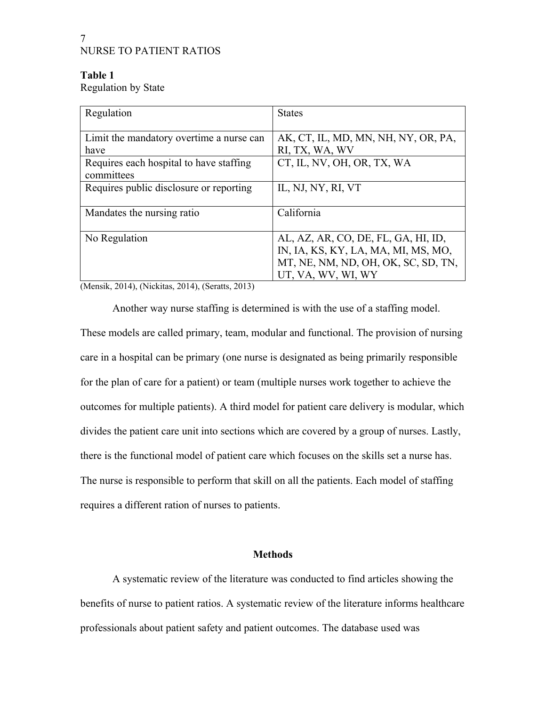### <span id="page-6-1"></span>**Table 1**

Regulation by State

| Regulation                                             | <b>States</b>                       |
|--------------------------------------------------------|-------------------------------------|
|                                                        |                                     |
| Limit the mandatory overtime a nurse can               | AK, CT, IL, MD, MN, NH, NY, OR, PA, |
| have                                                   | RI, TX, WA, WV                      |
| Requires each hospital to have staffing                | CT, IL, NV, OH, OR, TX, WA          |
| committees                                             |                                     |
| Requires public disclosure or reporting                | IL, NJ, NY, RI, VT                  |
|                                                        |                                     |
| Mandates the nursing ratio                             | California                          |
|                                                        |                                     |
| No Regulation                                          | AL, AZ, AR, CO, DE, FL, GA, HI, ID, |
|                                                        | IN, IA, KS, KY, LA, MA, MI, MS, MO, |
|                                                        | MT, NE, NM, ND, OH, OK, SC, SD, TN, |
|                                                        | UT, VA, WV, WI, WY                  |
| $(11.011)$ $(11.011)$ $(11.011)$ $(11.011)$ $(11.011)$ |                                     |

(Mensik, 2014), (Nickitas, 2014), (Seratts, 2013)

Another way nurse staffing is determined is with the use of a staffing model. These models are called primary, team, modular and functional. The provision of nursing care in a hospital can be primary (one nurse is designated as being primarily responsible for the plan of care for a patient) or team (multiple nurses work together to achieve the outcomes for multiple patients). A third model for patient care delivery is modular, which divides the patient care unit into sections which are covered by a group of nurses. Lastly, there is the functional model of patient care which focuses on the skills set a nurse has. The nurse is responsible to perform that skill on all the patients. Each model of staffing requires a different ration of nurses to patients.

### <span id="page-6-0"></span>**Methods**

A systematic review of the literature was conducted to find articles showing the benefits of nurse to patient ratios. A systematic review of the literature informs healthcare professionals about patient safety and patient outcomes. The database used was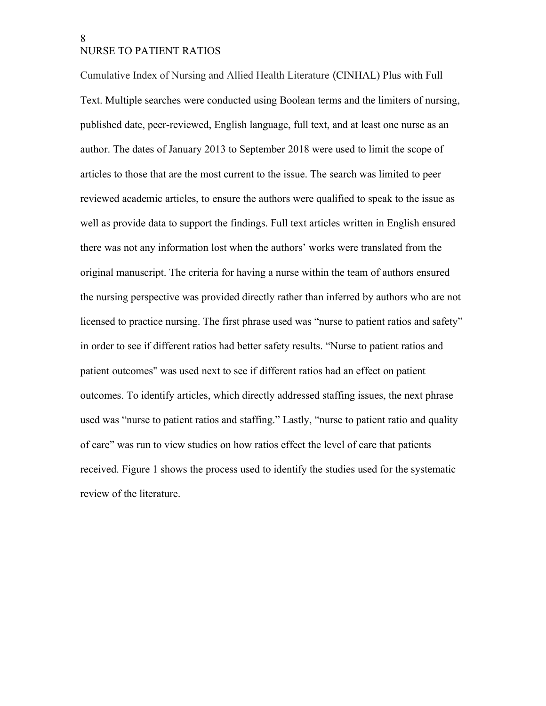Cumulative Index of Nursing and Allied Health Literature (CINHAL) Plus with Full Text. Multiple searches were conducted using Boolean terms and the limiters of nursing, published date, peer-reviewed, English language, full text, and at least one nurse as an author. The dates of January 2013 to September 2018 were used to limit the scope of articles to those that are the most current to the issue. The search was limited to peer reviewed academic articles, to ensure the authors were qualified to speak to the issue as well as provide data to support the findings. Full text articles written in English ensured there was not any information lost when the authors' works were translated from the original manuscript. The criteria for having a nurse within the team of authors ensured the nursing perspective was provided directly rather than inferred by authors who are not licensed to practice nursing. The first phrase used was "nurse to patient ratios and safety" in order to see if different ratios had better safety results. "Nurse to patient ratios and patient outcomes" was used next to see if different ratios had an effect on patient outcomes. To identify articles, which directly addressed staffing issues, the next phrase used was "nurse to patient ratios and staffing." Lastly, "nurse to patient ratio and quality of care" was run to view studies on how ratios effect the level of care that patients received. Figure 1 shows the process used to identify the studies used for the systematic review of the literature.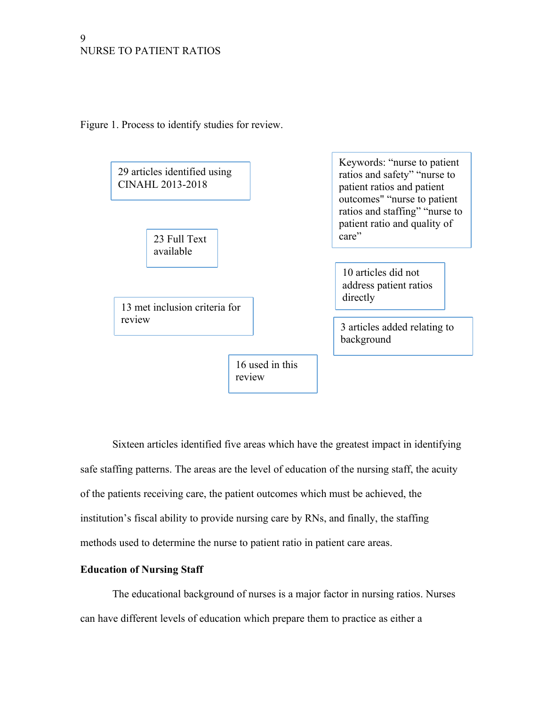Figure 1. Process to identify studies for review.



<span id="page-8-1"></span>Sixteen articles identified five areas which have the greatest impact in identifying safe staffing patterns. The areas are the level of education of the nursing staff, the acuity of the patients receiving care, the patient outcomes which must be achieved, the institution's fiscal ability to provide nursing care by RNs, and finally, the staffing methods used to determine the nurse to patient ratio in patient care areas.

### <span id="page-8-0"></span>**Education of Nursing Staff**

The educational background of nurses is a major factor in nursing ratios. Nurses can have different levels of education which prepare them to practice as either a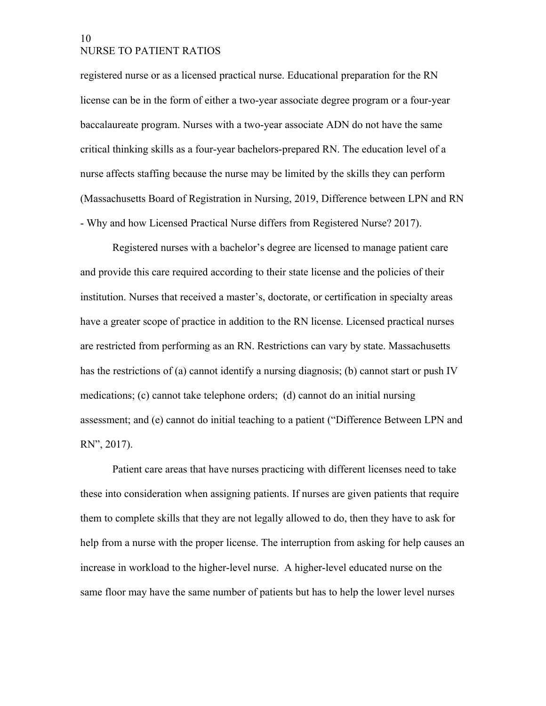registered nurse or as a licensed practical nurse. Educational preparation for the RN license can be in the form of either a two-year associate degree program or a four-year baccalaureate program. Nurses with a two-year associate ADN do not have the same critical thinking skills as a four-year bachelors-prepared RN. The education level of a nurse affects staffing because the nurse may be limited by the skills they can perform (Massachusetts Board of Registration in Nursing, 2019, Difference between LPN and RN - Why and how Licensed Practical Nurse differs from Registered Nurse? 2017).

Registered nurses with a bachelor's degree are licensed to manage patient care and provide this care required according to their state license and the policies of their institution. Nurses that received a master's, doctorate, or certification in specialty areas have a greater scope of practice in addition to the RN license. Licensed practical nurses are restricted from performing as an RN. Restrictions can vary by state. Massachusetts has the restrictions of (a) cannot identify a nursing diagnosis; (b) cannot start or push IV medications; (c) cannot take telephone orders; (d) cannot do an initial nursing assessment; and (e) cannot do initial teaching to a patient ("Difference Between LPN and RN", 2017).

Patient care areas that have nurses practicing with different licenses need to take these into consideration when assigning patients. If nurses are given patients that require them to complete skills that they are not legally allowed to do, then they have to ask for help from a nurse with the proper license. The interruption from asking for help causes an increase in workload to the higher-level nurse. A higher-level educated nurse on the same floor may have the same number of patients but has to help the lower level nurses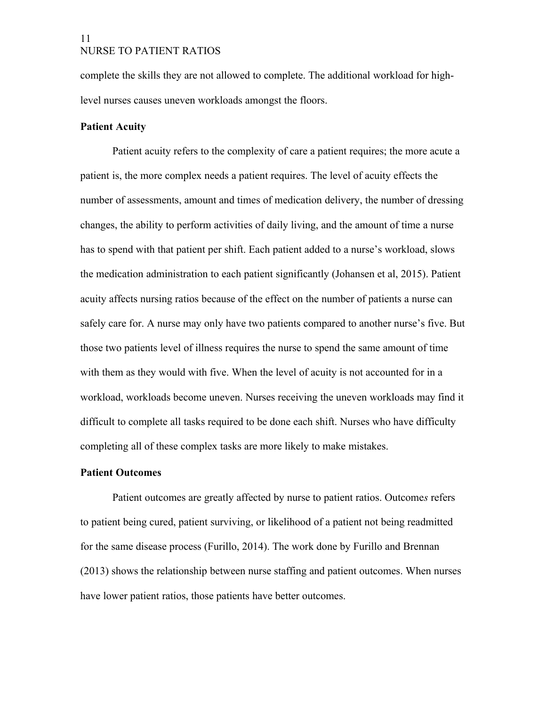complete the skills they are not allowed to complete. The additional workload for highlevel nurses causes uneven workloads amongst the floors.

### <span id="page-10-1"></span>**Patient Acuity**

Patient acuity refers to the complexity of care a patient requires; the more acute a patient is, the more complex needs a patient requires. The level of acuity effects the number of assessments, amount and times of medication delivery, the number of dressing changes, the ability to perform activities of daily living, and the amount of time a nurse has to spend with that patient per shift. Each patient added to a nurse's workload, slows the medication administration to each patient significantly (Johansen et al, 2015). Patient acuity affects nursing ratios because of the effect on the number of patients a nurse can safely care for. A nurse may only have two patients compared to another nurse's five. But those two patients level of illness requires the nurse to spend the same amount of time with them as they would with five. When the level of acuity is not accounted for in a workload, workloads become uneven. Nurses receiving the uneven workloads may find it difficult to complete all tasks required to be done each shift. Nurses who have difficulty completing all of these complex tasks are more likely to make mistakes.

### <span id="page-10-0"></span>**Patient Outcomes**

Patient outcomes are greatly affected by nurse to patient ratios. Outcome*s* refers to patient being cured, patient surviving, or likelihood of a patient not being readmitted for the same disease process (Furillo, 2014). The work done by Furillo and Brennan (2013) shows the relationship between nurse staffing and patient outcomes. When nurses have lower patient ratios, those patients have better outcomes.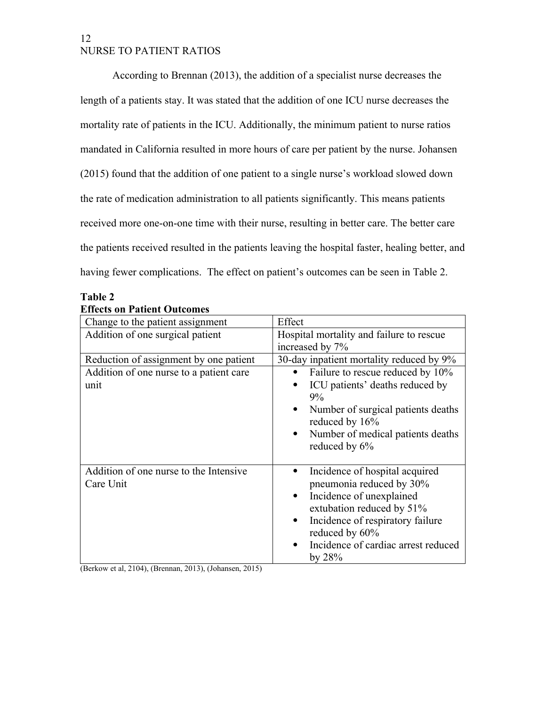According to Brennan (2013), the addition of a specialist nurse decreases the length of a patients stay. It was stated that the addition of one ICU nurse decreases the mortality rate of patients in the ICU. Additionally, the minimum patient to nurse ratios mandated in California resulted in more hours of care per patient by the nurse. Johansen (2015) found that the addition of one patient to a single nurse's workload slowed down the rate of medication administration to all patients significantly. This means patients received more one-on-one time with their nurse, resulting in better care. The better care the patients received resulted in the patients leaving the hospital faster, healing better, and having fewer complications. The effect on patient's outcomes can be seen in Table 2.

### <span id="page-11-0"></span>**Table 2**

#### **Effects on Patient Outcomes**

| Change to the patient assignment                    | Effect                                                                                                                                                                                                                                     |  |
|-----------------------------------------------------|--------------------------------------------------------------------------------------------------------------------------------------------------------------------------------------------------------------------------------------------|--|
| Addition of one surgical patient                    | Hospital mortality and failure to rescue                                                                                                                                                                                                   |  |
|                                                     | increased by 7%                                                                                                                                                                                                                            |  |
| Reduction of assignment by one patient              | 30-day inpatient mortality reduced by 9%                                                                                                                                                                                                   |  |
| Addition of one nurse to a patient care<br>unit     | Failure to rescue reduced by 10%<br>$\bullet$<br>ICU patients' deaths reduced by<br>9%<br>Number of surgical patients deaths<br>$\bullet$<br>reduced by 16%<br>Number of medical patients deaths<br>$\bullet$<br>reduced by 6%             |  |
| Addition of one nurse to the Intensive<br>Care Unit | Incidence of hospital acquired<br>pneumonia reduced by 30%<br>Incidence of unexplained<br>extubation reduced by 51%<br>Incidence of respiratory failure<br>$\bullet$<br>reduced by 60%<br>Incidence of cardiac arrest reduced<br>by $28\%$ |  |

(Berkow et al, 2104), (Brennan, 2013), (Johansen, 2015)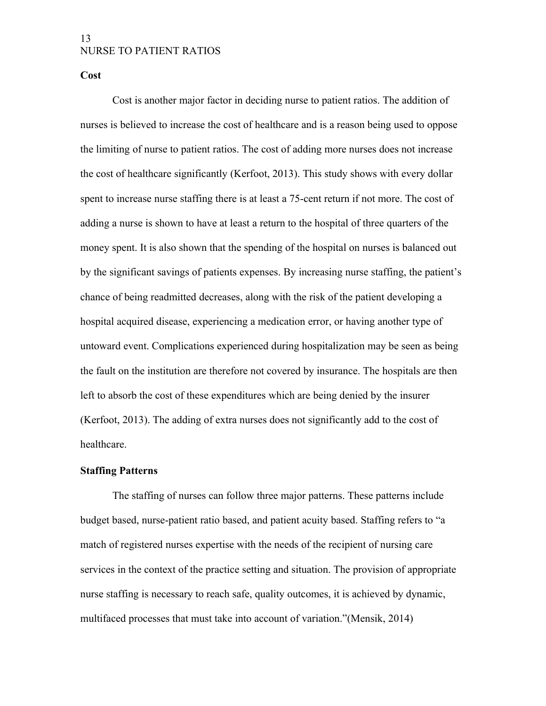#### <span id="page-12-1"></span>**Cost**

Cost is another major factor in deciding nurse to patient ratios. The addition of nurses is believed to increase the cost of healthcare and is a reason being used to oppose the limiting of nurse to patient ratios. The cost of adding more nurses does not increase the cost of healthcare significantly (Kerfoot, 2013). This study shows with every dollar spent to increase nurse staffing there is at least a 75-cent return if not more. The cost of adding a nurse is shown to have at least a return to the hospital of three quarters of the money spent. It is also shown that the spending of the hospital on nurses is balanced out by the significant savings of patients expenses. By increasing nurse staffing, the patient's chance of being readmitted decreases, along with the risk of the patient developing a hospital acquired disease, experiencing a medication error, or having another type of untoward event. Complications experienced during hospitalization may be seen as being the fault on the institution are therefore not covered by insurance. The hospitals are then left to absorb the cost of these expenditures which are being denied by the insurer (Kerfoot, 2013). The adding of extra nurses does not significantly add to the cost of healthcare.

### <span id="page-12-0"></span>**Staffing Patterns**

The staffing of nurses can follow three major patterns. These patterns include budget based, nurse-patient ratio based, and patient acuity based. Staffing refers to "a match of registered nurses expertise with the needs of the recipient of nursing care services in the context of the practice setting and situation. The provision of appropriate nurse staffing is necessary to reach safe, quality outcomes, it is achieved by dynamic, multifaced processes that must take into account of variation."(Mensik, 2014)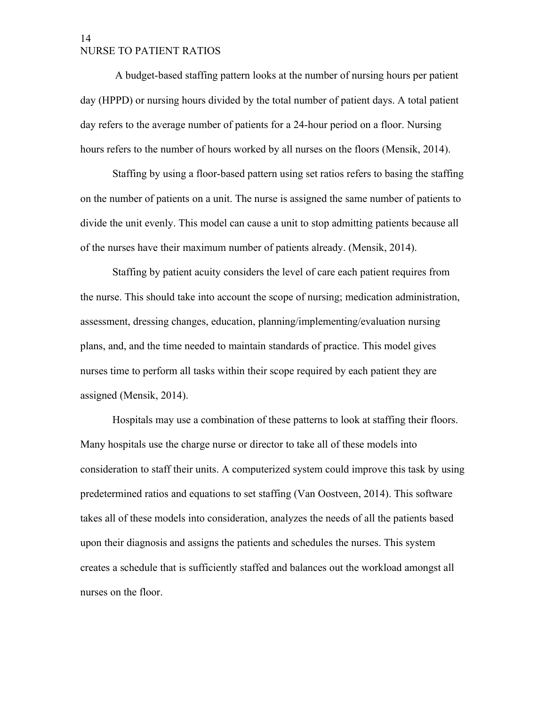A budget-based staffing pattern looks at the number of nursing hours per patient day (HPPD) or nursing hours divided by the total number of patient days. A total patient day refers to the average number of patients for a 24-hour period on a floor. Nursing hours refers to the number of hours worked by all nurses on the floors (Mensik, 2014).

Staffing by using a floor-based pattern using set ratios refers to basing the staffing on the number of patients on a unit. The nurse is assigned the same number of patients to divide the unit evenly. This model can cause a unit to stop admitting patients because all of the nurses have their maximum number of patients already. (Mensik, 2014).

Staffing by patient acuity considers the level of care each patient requires from the nurse. This should take into account the scope of nursing; medication administration, assessment, dressing changes, education, planning/implementing/evaluation nursing plans, and, and the time needed to maintain standards of practice. This model gives nurses time to perform all tasks within their scope required by each patient they are assigned (Mensik, 2014).

Hospitals may use a combination of these patterns to look at staffing their floors. Many hospitals use the charge nurse or director to take all of these models into consideration to staff their units. A computerized system could improve this task by using predetermined ratios and equations to set staffing (Van Oostveen, 2014). This software takes all of these models into consideration, analyzes the needs of all the patients based upon their diagnosis and assigns the patients and schedules the nurses. This system creates a schedule that is sufficiently staffed and balances out the workload amongst all nurses on the floor.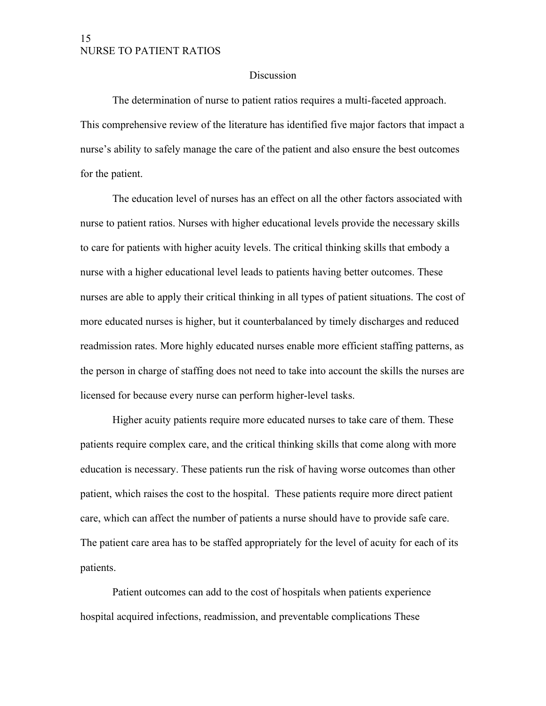#### <span id="page-14-0"></span>Discussion

The determination of nurse to patient ratios requires a multi-faceted approach. This comprehensive review of the literature has identified five major factors that impact a nurse's ability to safely manage the care of the patient and also ensure the best outcomes for the patient.

The education level of nurses has an effect on all the other factors associated with nurse to patient ratios. Nurses with higher educational levels provide the necessary skills to care for patients with higher acuity levels. The critical thinking skills that embody a nurse with a higher educational level leads to patients having better outcomes. These nurses are able to apply their critical thinking in all types of patient situations. The cost of more educated nurses is higher, but it counterbalanced by timely discharges and reduced readmission rates. More highly educated nurses enable more efficient staffing patterns, as the person in charge of staffing does not need to take into account the skills the nurses are licensed for because every nurse can perform higher-level tasks.

Higher acuity patients require more educated nurses to take care of them. These patients require complex care, and the critical thinking skills that come along with more education is necessary. These patients run the risk of having worse outcomes than other patient, which raises the cost to the hospital. These patients require more direct patient care, which can affect the number of patients a nurse should have to provide safe care. The patient care area has to be staffed appropriately for the level of acuity for each of its patients.

Patient outcomes can add to the cost of hospitals when patients experience hospital acquired infections, readmission, and preventable complications These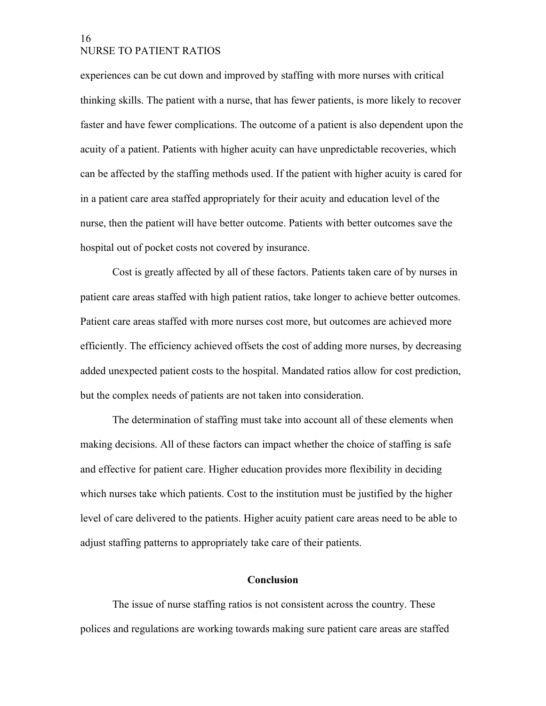experiences can be cut down and improved by staffing with more nurses with critical thinking skills. The patient with a nurse, that has fewer patients, is more likely to recover faster and have fewer complications. The outcome of a patient is also dependent upon the acuity of a patient. Patients with higher acuity can have unpredictable recoveries, which can be affected by the staffing methods used. If the patient with higher acuity is cared for in a patient care area staffed appropriately for their acuity and education level of the nurse, then the patient will have better outcome. Patients with better outcomes save the hospital out of pocket costs not covered by insurance.

Cost is greatly affected by all of these factors. Patients taken care of by nurses in patient care areas staffed with high patient ratios, take longer to achieve better outcomes. Patient care areas staffed with more nurses cost more, but outcomes are achieved more efficiently. The efficiency achieved offsets the cost of adding more nurses, by decreasing added unexpected patient costs to the hospital. Mandated ratios allow for cost prediction, but the complex needs of patients are not taken into consideration.

The determination of staffing must take into account all of these elements when making decisions. All of these factors can impact whether the choice of staffing is safe and effective for patient care. Higher education provides more flexibility in deciding which nurses take which patients. Cost to the institution must be justified by the higher level of care delivered to the patients. Higher acuity patient care areas need to be able to adjust staffing patterns to appropriately take care of their patients.

### <span id="page-15-0"></span>**Conclusion**

The issue of nurse staffing ratios is not consistent across the country. These polices and regulations are working towards making sure patient care areas are staffed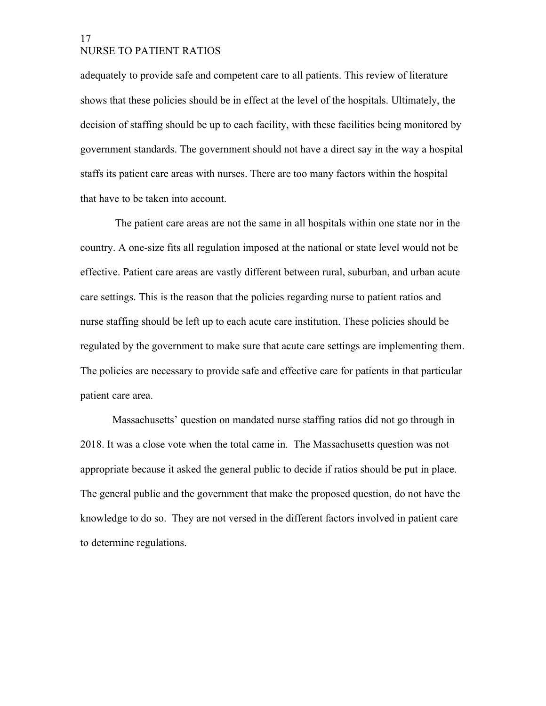adequately to provide safe and competent care to all patients. This review of literature shows that these policies should be in effect at the level of the hospitals. Ultimately, the decision of staffing should be up to each facility, with these facilities being monitored by government standards. The government should not have a direct say in the way a hospital staffs its patient care areas with nurses. There are too many factors within the hospital that have to be taken into account.

 The patient care areas are not the same in all hospitals within one state nor in the country. A one-size fits all regulation imposed at the national or state level would not be effective. Patient care areas are vastly different between rural, suburban, and urban acute care settings. This is the reason that the policies regarding nurse to patient ratios and nurse staffing should be left up to each acute care institution. These policies should be regulated by the government to make sure that acute care settings are implementing them. The policies are necessary to provide safe and effective care for patients in that particular patient care area.

Massachusetts' question on mandated nurse staffing ratios did not go through in 2018. It was a close vote when the total came in. The Massachusetts question was not appropriate because it asked the general public to decide if ratios should be put in place. The general public and the government that make the proposed question, do not have the knowledge to do so. They are not versed in the different factors involved in patient care to determine regulations.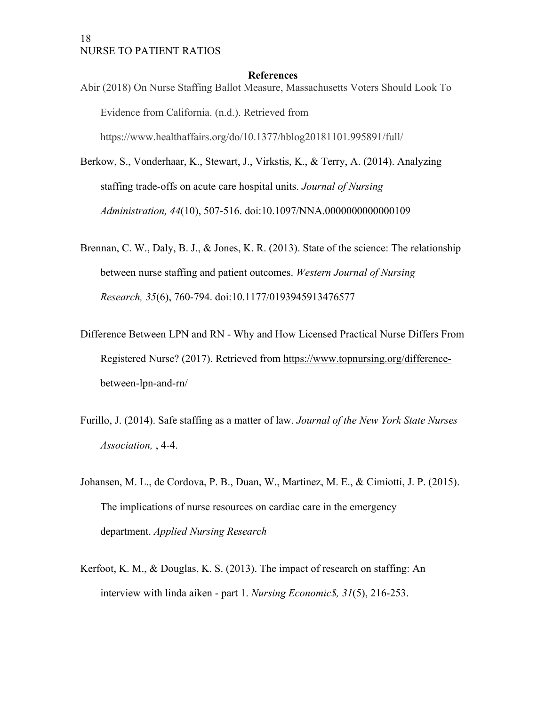#### <span id="page-17-0"></span>**References**

- Abir (2018) On Nurse Staffing Ballot Measure, Massachusetts Voters Should Look To Evidence from California. (n.d.). Retrieved from https://www.healthaffairs.org/do/10.1377/hblog20181101.995891/full/
- Berkow, S., Vonderhaar, K., Stewart, J., Virkstis, K., & Terry, A. (2014). Analyzing staffing trade-offs on acute care hospital units. *Journal of Nursing Administration, 44*(10), 507-516. doi:10.1097/NNA.0000000000000109
- Brennan, C. W., Daly, B. J., & Jones, K. R. (2013). State of the science: The relationship between nurse staffing and patient outcomes. *Western Journal of Nursing Research, 35*(6), 760-794. doi:10.1177/0193945913476577
- Difference Between LPN and RN Why and How Licensed Practical Nurse Differs From Registered Nurse? (2017). Retrieved from [https://www.topnursing.org/difference](https://www.topnursing.org/difference-)between-lpn-and-rn/
- Furillo, J. (2014). Safe staffing as a matter of law. *Journal of the New York State Nurses Association,* , 4-4.
- Johansen, M. L., de Cordova, P. B., Duan, W., Martinez, M. E., & Cimiotti, J. P. (2015). The implications of nurse resources on cardiac care in the emergency department. *Applied Nursing Research*
- Kerfoot, K. M., & Douglas, K. S. (2013). The impact of research on staffing: An interview with linda aiken - part 1. *Nursing Economic\$, 31*(5), 216-253.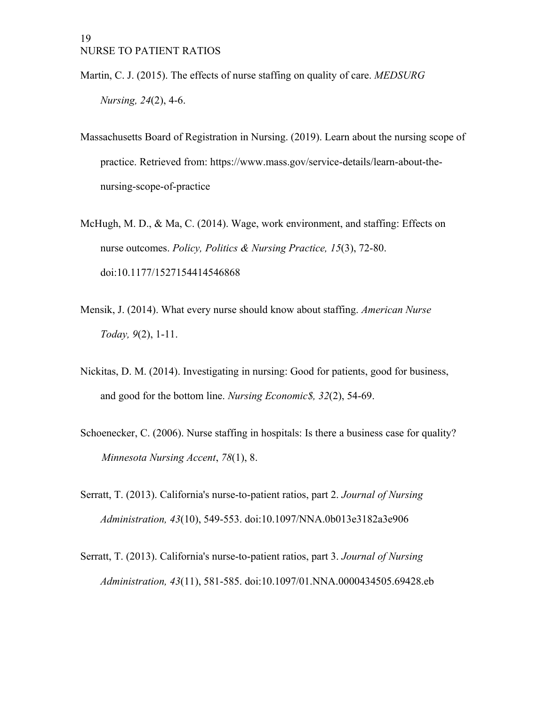- Martin, C. J. (2015). The effects of nurse staffing on quality of care. *MEDSURG Nursing, 24*(2), 4-6.
- Massachusetts Board of Registration in Nursing. (2019). Learn about the nursing scope of practice. Retrieved from: https://www.mass.gov/service-details/learn-about-thenursing-scope-of-practice
- McHugh, M. D., & Ma, C. (2014). Wage, work environment, and staffing: Effects on nurse outcomes. *Policy, Politics & Nursing Practice, 15*(3), 72-80. doi:10.1177/1527154414546868
- Mensik, J. (2014). What every nurse should know about staffing. *American Nurse Today, 9*(2), 1-11.
- Nickitas, D. M. (2014). Investigating in nursing: Good for patients, good for business, and good for the bottom line. *Nursing Economic\$, 32*(2), 54-69.
- Schoenecker, C. (2006). Nurse staffing in hospitals: Is there a business case for quality? *Minnesota Nursing Accent*, *78*(1), 8.
- Serratt, T. (2013). California's nurse-to-patient ratios, part 2. *Journal of Nursing Administration, 43*(10), 549-553. doi:10.1097/NNA.0b013e3182a3e906
- Serratt, T. (2013). California's nurse-to-patient ratios, part 3. *Journal of Nursing Administration, 43*(11), 581-585. doi:10.1097/01.NNA.0000434505.69428.eb